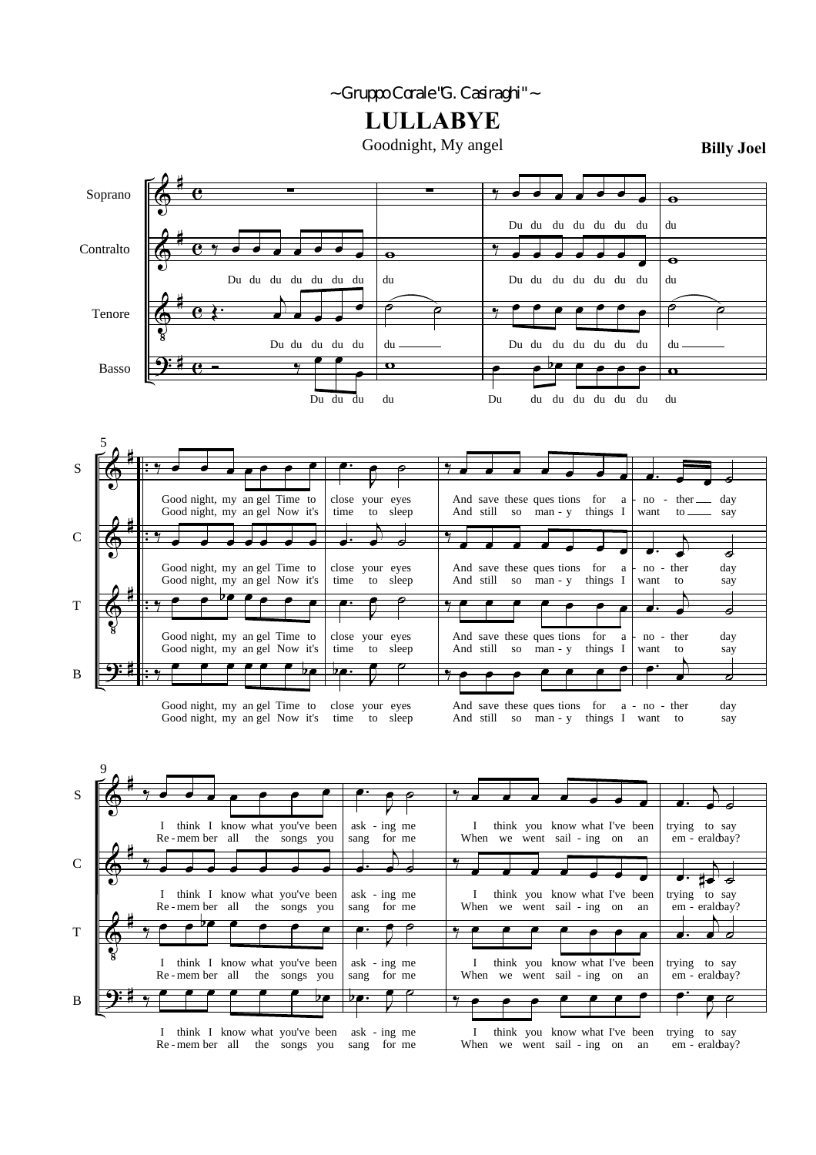## *~ Gruppo Corale "G. Casiraghi" ~*

**LULLABYE**

Goodnight, My angel

**Billy Joel**

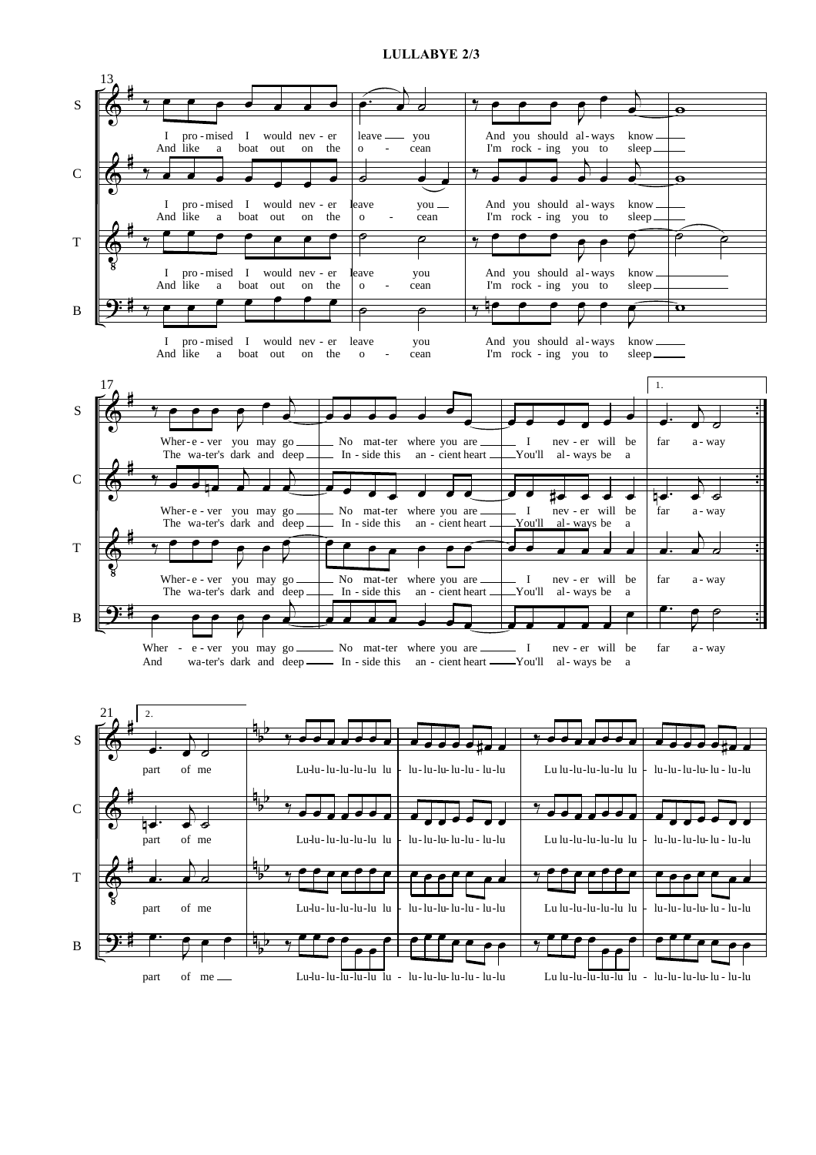## **LULLABYE 2/3**